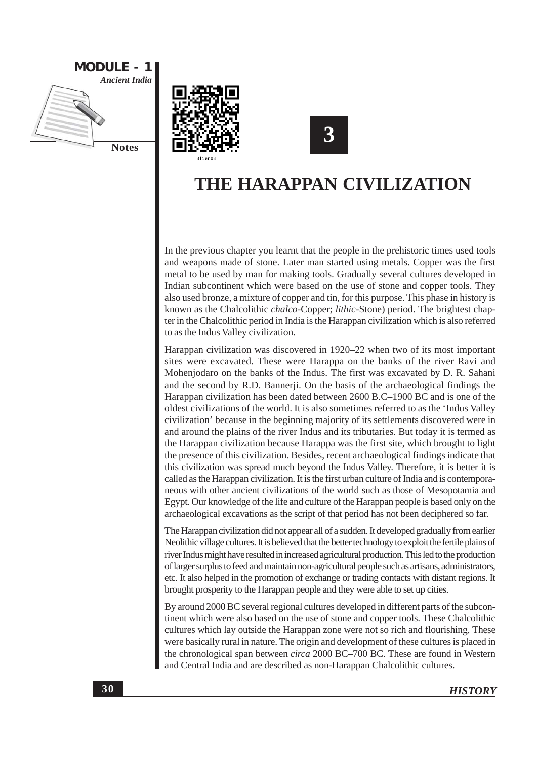





# THE HARAPPAN CIVILIZATION

In the previous chapter you learnt that the people in the prehistoric times used tools and weapons made of stone. Later man started using metals. Copper was the first metal to be used by man for making tools. Gradually several cultures developed in Indian subcontinent which were based on the use of stone and copper tools. They also used bronze, a mixture of copper and tin, for this purpose. This phase in history is known as the Chalcolithic chalco-Copper; lithic-Stone) period. The brightest chapter in the Chalcolithic period in India is the Harappan civilization which is also referred to as the Indus Valley civilization.

Harappan civilization was discovered in 1920–22 when two of its most important sites were excavated. These were Harappa on the banks of the river Ravi and Mohenjodaro on the banks of the Indus. The first was excavated by D. R. Sahani and the second by R.D. Bannerji. On the basis of the archaeological findings the Harappan civilization has been dated between 2600 B.C–1900 BC and is one of the oldest civilizations of the world. It is also sometimes referred to as the 'Indus Valley civilization' because in the beginning majority of its settlements discovered were in and around the plains of the river Indus and its tributaries. But today it is termed as the Harappan civilization because Harappa was the first site, which brought to light the presence of this civilization. Besides, recent archaeological findings indicate that this civilization was spread much beyond the Indus Valley. Therefore, it is better it is called as the Harappan civilization. It is the first urban culture of India and is contemporaneous with other ancient civilizations of the world such as those of Mesopotamia and Egypt. Our knowledge of the life and culture of the Harappan people is based only on the archaeological excavations as the script of that period has not been deciphered so far.

The Harappan civilization did not appear all of a sudden. It developed gradually from earlier Neolithic village cultures. It is believed that the better technology to exploit the fertile plains of river Indus might have resulted in increased agricultural production. This led to the production of larger surplus to feed and maintain non-agricultural people such as artisans, administrators, etc. It also helped in the promotion of exchange or trading contacts with distant regions. It brought prosperity to the Harappan people and they were able to set up cities.

By around 2000 BC several regional cultures developed in different parts of the subcontinent which were also based on the use of stone and copper tools. These Chalcolithic cultures which lay outside the Harappan zone were not so rich and flourishing. These were basically rural in nature. The origin and development of these cultures is placed in the chronological span between *circa* 2000 BC-700 BC. These are found in Western and Central India and are described as non-Harappan Chalcolithic cultures.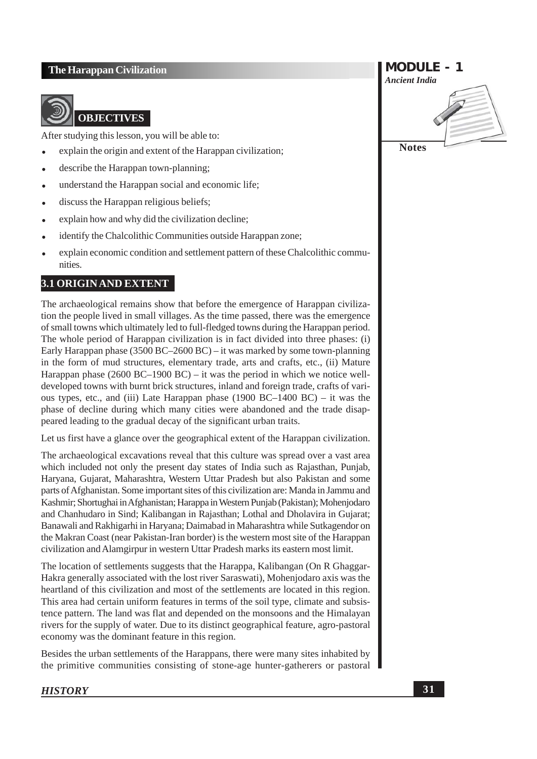

### **OBJECTIVES**

After studying this lesson, you will be able to:

- explain the origin and extent of the Harappan civilization;
- describe the Harappan town-planning;
- understand the Harappan social and economic life:
- discuss the Harappan religious beliefs;
- explain how and why did the civilization decline;
- identify the Chalcolithic Communities outside Harappan zone;
- explain economic condition and settlement pattern of these Chalcolithic communities.

### 3.1 ORIGIN AND EXTENT

The archaeological remains show that before the emergence of Harappan civilization the people lived in small villages. As the time passed, there was the emergence of small towns which ultimately led to full-fledged towns during the Harappan period. The whole period of Harappan civilization is in fact divided into three phases: (i) Early Harappan phase  $(3500 \text{ BC} - 2600 \text{ BC}) -$  it was marked by some town-planning in the form of mud structures, elementary trade, arts and crafts, etc., (ii) Mature Harappan phase  $(2600 \text{ BC} - 1900 \text{ BC}) -$  it was the period in which we notice welldeveloped towns with burnt brick structures, inland and foreign trade, crafts of various types, etc., and (iii) Late Harappan phase (1900 BC-1400 BC) – it was the phase of decline during which many cities were abandoned and the trade disappeared leading to the gradual decay of the significant urban traits.

Let us first have a glance over the geographical extent of the Harappan civilization.

The archaeological excavations reveal that this culture was spread over a vast area which included not only the present day states of India such as Rajasthan, Punjab, Harvana, Guiarat, Maharashtra, Western Uttar Pradesh but also Pakistan and some parts of Afghanistan. Some important sites of this civilization are: Manda in Jammu and Kashmir; Shortughai in Afghanistan; Harappa in Western Punjab (Pakistan); Mohenjodaro and Chanhudaro in Sind; Kalibangan in Rajasthan; Lothal and Dholavira in Gujarat; Banawali and Rakhigarhi in Haryana; Daimabad in Maharashtra while Sutkagendor on the Makran Coast (near Pakistan-Iran border) is the western most site of the Harappan civilization and Alamgirpur in western Uttar Pradesh marks its eastern most limit.

The location of settlements suggests that the Harappa, Kalibangan (On R Ghaggar-Hakra generally associated with the lost river Saraswati), Mohenjodaro axis was the heartland of this civilization and most of the settlements are located in this region. This area had certain uniform features in terms of the soil type, climate and subsistence pattern. The land was flat and depended on the monsoons and the Himalayan rivers for the supply of water. Due to its distinct geographical feature, agro-pastoral economy was the dominant feature in this region.

Besides the urban settlements of the Harappans, there were many sites inhabited by the primitive communities consisting of stone-age hunter-gatherers or pastoral

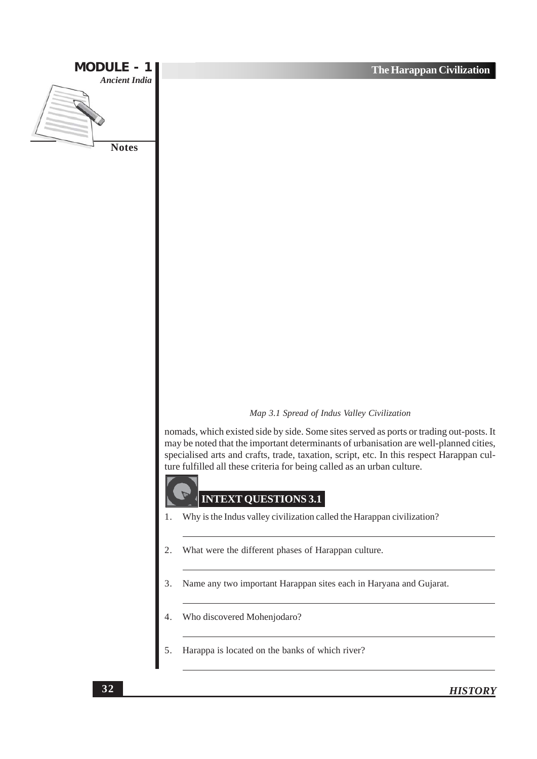

#### Map 3.1 Spread of Indus Valley Civilization

nomads, which existed side by side. Some sites served as ports or trading out-posts. It may be noted that the important determinants of urbanisation are well-planned cities, specialised arts and crafts, trade, taxation, script, etc. In this respect Harappan culture fulfilled all these criteria for being called as an urban culture.

### **INTEXT QUESTIONS 3.1**

- Why is the Indus valley civilization called the Harappan civilization?
- What were the different phases of Harappan culture.
- Name any two important Harappan sites each in Haryana and Gujarat.
- Who discovered Mohenjodaro?
- Harappa is located on the banks of which river?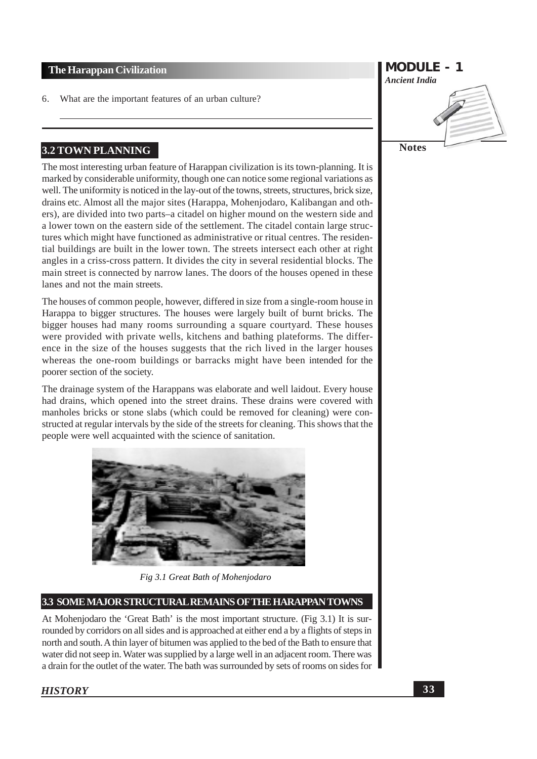What are the important features of an urban culture? 6.

### 3.2 TOWN PLANNING

The most interesting urban feature of Harappan civilization is its town-planning. It is marked by considerable uniformity, though one can notice some regional variations as well. The uniformity is noticed in the lay-out of the towns, streets, structures, brick size, drains etc. Almost all the major sites (Harappa, Mohenjodaro, Kalibangan and others), are divided into two parts–a citadel on higher mound on the western side and a lower town on the eastern side of the settlement. The citadel contain large structures which might have functioned as administrative or ritual centres. The residential buildings are built in the lower town. The streets intersect each other at right angles in a criss-cross pattern. It divides the city in several residential blocks. The main street is connected by narrow lanes. The doors of the houses opened in these lanes and not the main streets.

The houses of common people, however, differed in size from a single-room house in Harappa to bigger structures. The houses were largely built of burnt bricks. The bigger houses had many rooms surrounding a square courtyard. These houses were provided with private wells, kitchens and bathing plateforms. The difference in the size of the houses suggests that the rich lived in the larger houses whereas the one-room buildings or barracks might have been intended for the poorer section of the society.

The drainage system of the Harappans was elaborate and well laidout. Every house had drains, which opened into the street drains. These drains were covered with manholes bricks or stone slabs (which could be removed for cleaning) were constructed at regular intervals by the side of the streets for cleaning. This shows that the people were well acquainted with the science of sanitation.



Fig 3.1 Great Bath of Mohenjodaro

### 3.3 SOME MAJOR STRUCTURAL REMAINS OF THE HARAPPAN TOWNS

At Mohenjodaro the 'Great Bath' is the most important structure. (Fig 3.1) It is surrounded by corridors on all sides and is approached at either end a by a flights of steps in north and south. A thin layer of bitumen was applied to the bed of the Bath to ensure that water did not seep in. Water was supplied by a large well in an adjacent room. There was a drain for the outlet of the water. The bath was surrounded by sets of rooms on sides for

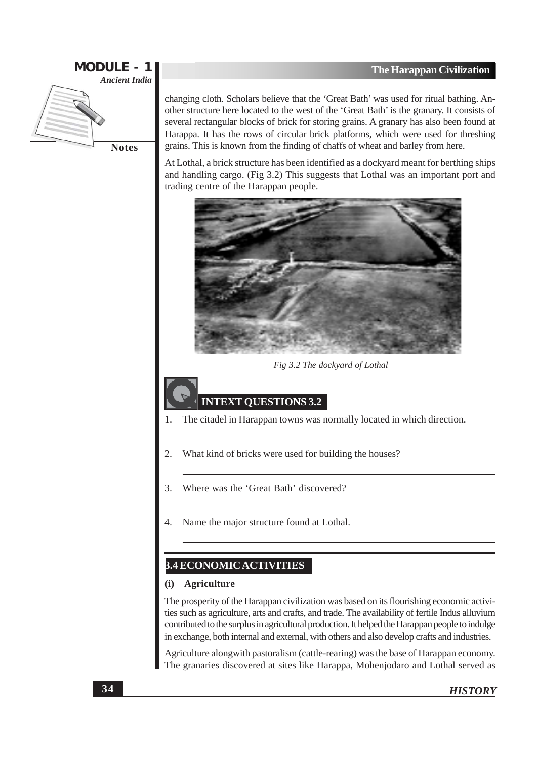

changing cloth. Scholars believe that the 'Great Bath' was used for ritual bathing. Another structure here located to the west of the 'Great Bath' is the granary. It consists of several rectangular blocks of brick for storing grains. A granary has also been found at Harappa. It has the rows of circular brick platforms, which were used for threshing grains. This is known from the finding of chaffs of wheat and barley from here.

At Lothal, a brick structure has been identified as a dockyard meant for berthing ships and handling cargo. (Fig 3.2) This suggests that Lothal was an important port and trading centre of the Harappan people.



Fig 3.2 The dockyard of Lothal

### **INTEXT QUESTIONS 3.2**

- The citadel in Harappan towns was normally located in which direction.  $\mathbf{1}$
- 2. What kind of bricks were used for building the houses?
- Where was the 'Great Bath' discovered? 3.
- Name the major structure found at Lothal.  $\overline{4}$ .

### **3.4 ECONOMICACTIVITIES**

#### **Agriculture** (i)

The prosperity of the Harappan civilization was based on its flourishing economic activities such as agriculture, arts and crafts, and trade. The availability of fertile Indus alluvium contributed to the surplus in agricultural production. It helped the Harappan people to indulge in exchange, both internal and external, with others and also develop crafts and industries.

Agriculture alongwith pastoralism (cattle-rearing) was the base of Harappan economy. The granaries discovered at sites like Harappa, Mohenjodaro and Lothal served as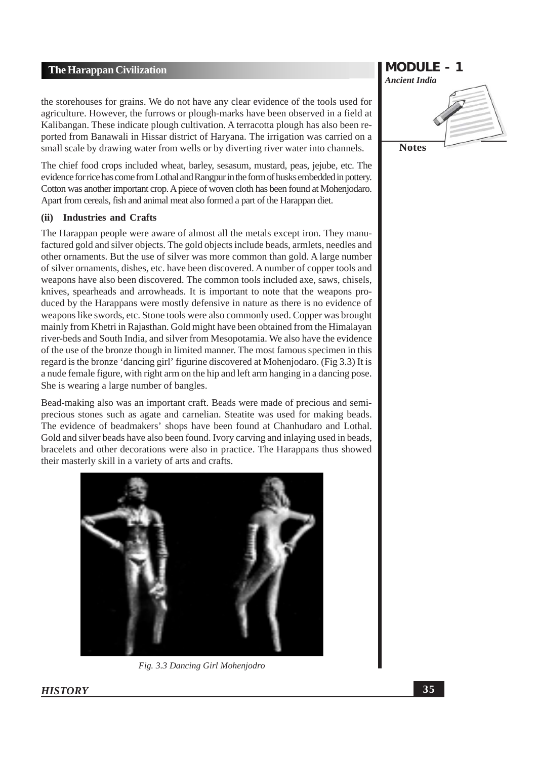the storehouses for grains. We do not have any clear evidence of the tools used for agriculture. However, the furrows or plough-marks have been observed in a field at Kalibangan. These indicate plough cultivation. A terracotta plough has also been reported from Banawali in Hissar district of Haryana. The irrigation was carried on a small scale by drawing water from wells or by diverting river water into channels.

The chief food crops included wheat, barley, sesasum, mustard, peas, jejube, etc. The evidence for rice has come from Lothal and Rangpur in the form of husks embedded in pottery. Cotton was another important crop. A piece of woven cloth has been found at Mohenjodaro. Apart from cereals, fish and animal meat also formed a part of the Harappan diet.

#### **Industries and Crafts**  $(ii)$

The Harappan people were aware of almost all the metals except iron. They manufactured gold and silver objects. The gold objects include beads, armlets, needles and other ornaments. But the use of silver was more common than gold. A large number of silver ornaments, dishes, etc. have been discovered. A number of copper tools and weapons have also been discovered. The common tools included axe, saws, chisels, knives, spearheads and arrowheads. It is important to note that the weapons produced by the Harappans were mostly defensive in nature as there is no evidence of weapons like swords, etc. Stone tools were also commonly used. Copper was brought mainly from Khetri in Rajasthan. Gold might have been obtained from the Himalayan river-beds and South India, and silver from Mesopotamia. We also have the evidence of the use of the bronze though in limited manner. The most famous specimen in this regard is the bronze 'dancing girl' figurine discovered at Mohenjodaro. (Fig 3.3) It is a nude female figure, with right arm on the hip and left arm hanging in a dancing pose. She is wearing a large number of bangles.

Bead-making also was an important craft. Beads were made of precious and semiprecious stones such as agate and carnelian. Steatite was used for making beads. The evidence of beadmakers' shops have been found at Chanhudaro and Lothal. Gold and silver beads have also been found. Ivory carving and inlaying used in beads, bracelets and other decorations were also in practice. The Harappans thus showed their masterly skill in a variety of arts and crafts.



Fig. 3.3 Dancing Girl Mohenjodro

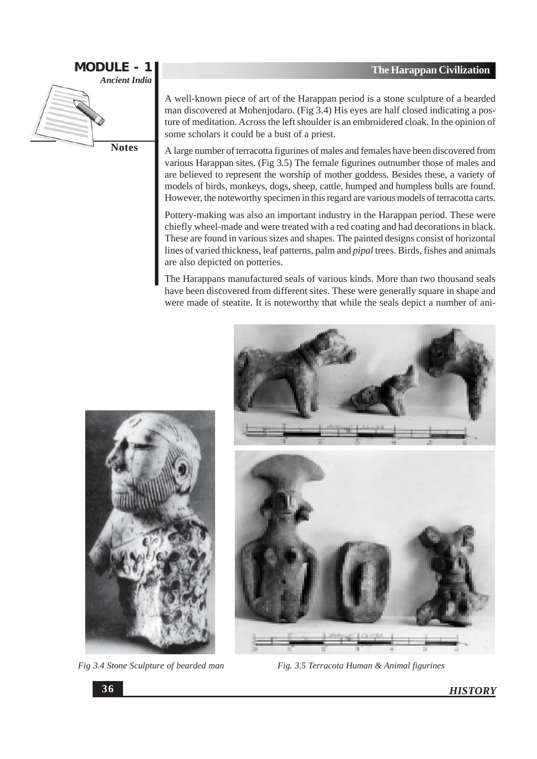

**Notes** 

A well-known piece of art of the Harappan period is a stone sculpture of a bearded man discovered at Mohenjodaro. (Fig 3.4) His eyes are half closed indicating a posture of meditation. Across the left shoulder is an embroidered cloak. In the opinion of some scholars it could be a bust of a priest.

A large number of terracotta figurines of males and females have been discovered from various Harappan sites. (Fig 3.5) The female figurines outnumber those of males and are believed to represent the worship of mother goddess. Besides these, a variety of models of birds, monkeys, dogs, sheep, cattle, humped and humpless bulls are found. However, the noteworthy specimen in this regard are various models of terracotta carts.

Pottery-making was also an important industry in the Harappan period. These were chiefly wheel-made and were treated with a red coating and had decorations in black. These are found in various sizes and shapes. The painted designs consist of horizontal lines of varied thickness, leaf patterns, palm and *pipal* trees. Birds, fishes and animals are also depicted on potteries.

The Harappans manufactured seals of various kinds. More than two thousand seals have been discovered from different sites. These were generally square in shape and were made of steatite. It is noteworthy that while the seals depict a number of ani-



Fig 3.4 Stone Sculpture of bearded man



Fig. 3.5 Terracota Human & Animal figurines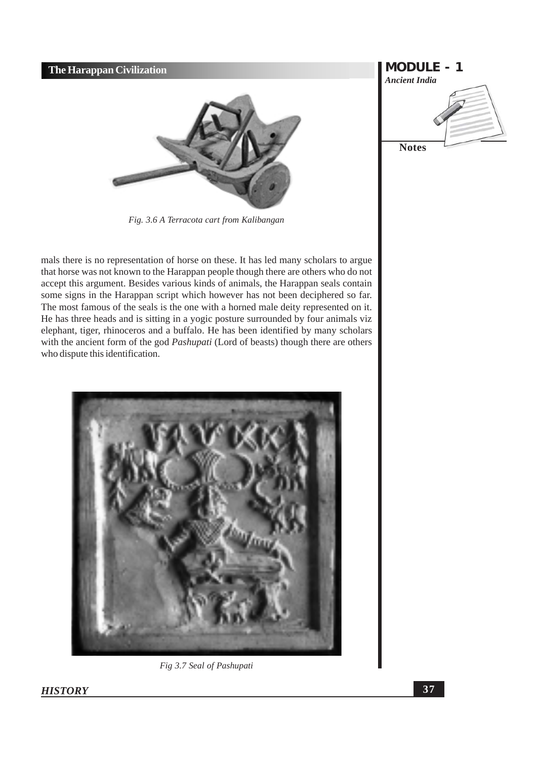

Fig. 3.6 A Terracota cart from Kalibangan

mals there is no representation of horse on these. It has led many scholars to argue that horse was not known to the Harappan people though there are others who do not accept this argument. Besides various kinds of animals, the Harappan seals contain some signs in the Harappan script which however has not been deciphered so far. The most famous of the seals is the one with a horned male deity represented on it. He has three heads and is sitting in a yogic posture surrounded by four animals viz elephant, tiger, rhinoceros and a buffalo. He has been identified by many scholars with the ancient form of the god *Pashupati* (Lord of beasts) though there are others who dispute this identification.



Fig 3.7 Seal of Pashupati

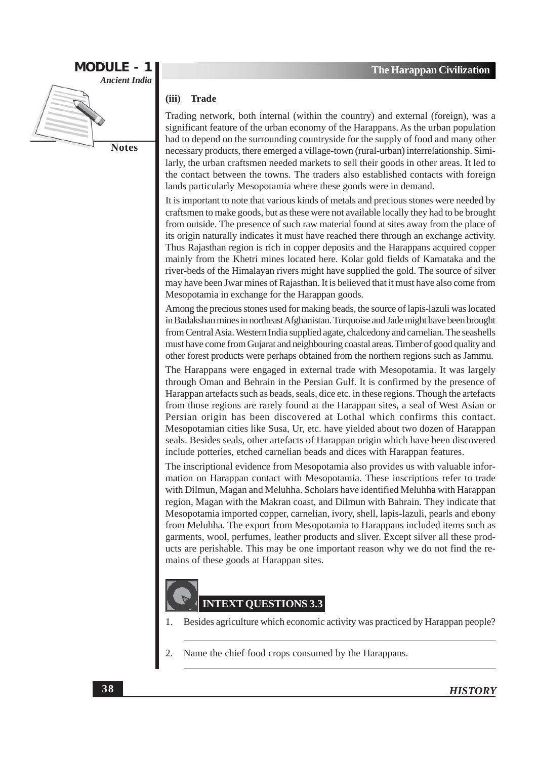

#### $(iii)$ **Trade**

Trading network, both internal (within the country) and external (foreign), was a significant feature of the urban economy of the Harappans. As the urban population had to depend on the surrounding countryside for the supply of food and many other necessary products, there emerged a village-town (rural-urban) interrelationship. Similarly, the urban craftsmen needed markets to sell their goods in other areas. It led to the contact between the towns. The traders also established contacts with foreign lands particularly Mesopotamia where these goods were in demand.

It is important to note that various kinds of metals and precious stones were needed by craftsmen to make goods, but as these were not available locally they had to be brought from outside. The presence of such raw material found at sites away from the place of its origin naturally indicates it must have reached there through an exchange activity. Thus Rajasthan region is rich in copper deposits and the Harappans acquired copper mainly from the Khetri mines located here. Kolar gold fields of Karnataka and the river-beds of the Himalayan rivers might have supplied the gold. The source of silver may have been Jwar mines of Rajasthan. It is believed that it must have also come from Mesopotamia in exchange for the Harappan goods.

Among the precious stones used for making beads, the source of lapis-lazuli was located in Badakshan mines in northeast Afghanistan. Turquoise and Jade might have been brought from Central Asia. Western India supplied agate, chalcedony and carnelian. The seashells must have come from Gujarat and neighbouring coastal areas. Timber of good quality and other forest products were perhaps obtained from the northern regions such as Jammu.

The Harappans were engaged in external trade with Mesopotamia. It was largely through Oman and Behrain in the Persian Gulf. It is confirmed by the presence of Harappan artefacts such as beads, seals, dice etc. in these regions. Though the artefacts from those regions are rarely found at the Harappan sites, a seal of West Asian or Persian origin has been discovered at Lothal which confirms this contact. Mesopotamian cities like Susa, Ur, etc. have yielded about two dozen of Harappan seals. Besides seals, other artefacts of Harappan origin which have been discovered include potteries, etched carnelian beads and dices with Harappan features.

The inscriptional evidence from Mesopotamia also provides us with valuable information on Harappan contact with Mesopotamia. These inscriptions refer to trade with Dilmun, Magan and Meluhha. Scholars have identified Meluhha with Harappan region, Magan with the Makran coast, and Dilmun with Bahrain. They indicate that Mesopotamia imported copper, carnelian, ivory, shell, lapis-lazuli, pearls and ebony from Meluhha. The export from Mesopotamia to Harappans included items such as garments, wool, perfumes, leather products and sliver. Except silver all these products are perishable. This may be one important reason why we do not find the remains of these goods at Harappan sites.

# **INTEXT OUESTIONS 3.3**

- Besides agriculture which economic activity was practiced by Harappan people?  $\mathbf{1}$ .
- $\overline{2}$ . Name the chief food crops consumed by the Harappans.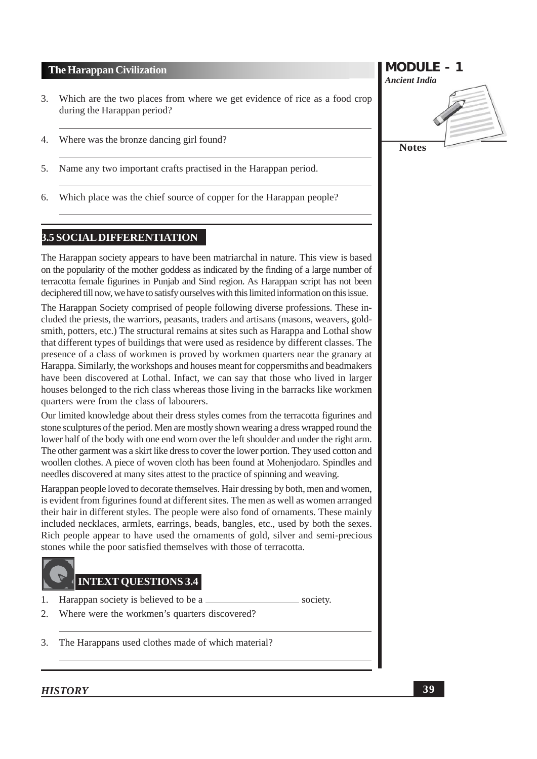- Which are the two places from where we get evidence of rice as a food crop 3. during the Harappan period?
- Where was the bronze dancing girl found?  $\overline{4}$ .
- 5. Name any two important crafts practised in the Harappan period.
- Which place was the chief source of copper for the Harappan people? 6.

### **3.5 SOCIAL DIFFERENTIATION**

The Harappan society appears to have been matriarchal in nature. This view is based on the popularity of the mother goddess as indicated by the finding of a large number of terracotta female figurines in Punjab and Sind region. As Harappan script has not been deciphered till now, we have to satisfy ourselves with this limited information on this issue.

The Harappan Society comprised of people following diverse professions. These included the priests, the warriors, peasants, traders and artisans (masons, weavers, goldsmith, potters, etc.) The structural remains at sites such as Harappa and Lothal show that different types of buildings that were used as residence by different classes. The presence of a class of workmen is proved by workmen quarters near the granary at Harappa. Similarly, the workshops and houses meant for coppersmiths and beadmakers have been discovered at Lothal. Infact, we can say that those who lived in larger houses belonged to the rich class whereas those living in the barracks like workmen quarters were from the class of labourers.

Our limited knowledge about their dress styles comes from the terracotta figurines and stone sculptures of the period. Men are mostly shown wearing a dress wrapped round the lower half of the body with one end worn over the left shoulder and under the right arm. The other garment was a skirt like dress to cover the lower portion. They used cotton and woollen clothes. A piece of woven cloth has been found at Mohenjodaro. Spindles and needles discovered at many sites attest to the practice of spinning and weaving.

Harappan people loved to decorate themselves. Hair dressing by both, men and women, is evident from figurines found at different sites. The men as well as women arranged their hair in different styles. The people were also fond of ornaments. These mainly included necklaces, armlets, earrings, beads, bangles, etc., used by both the sexes. Rich people appear to have used the ornaments of gold, silver and semi-precious stones while the poor satisfied themselves with those of terracotta.

society.

### **INTEXT QUESTIONS 3.4**

- Harappan society is believed to be a 1.
- $\mathcal{D}$ Where were the workmen's quarters discovered?
- 3. The Harappans used clothes made of which material?

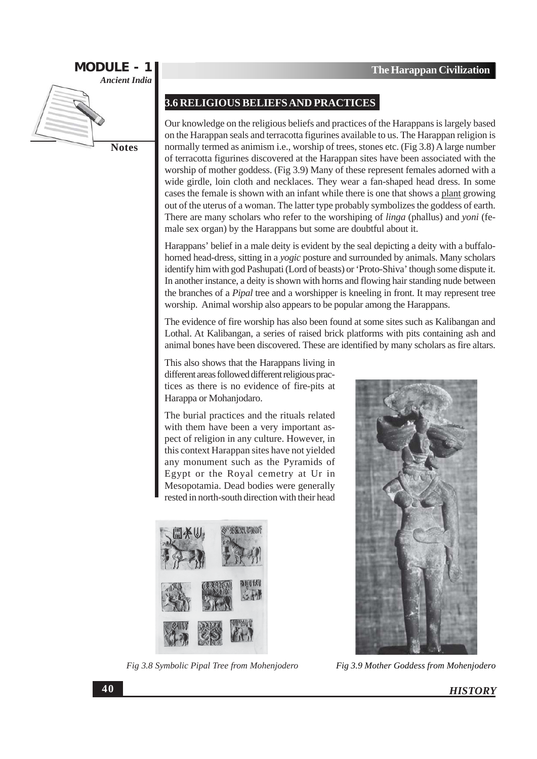

**3.6 RELIGIOUS BELIEFS AND PRACTICES** 

Our knowledge on the religious beliefs and practices of the Harappans is largely based on the Harappan seals and terracotta figurines available to us. The Harappan religion is normally termed as animism i.e., worship of trees, stones etc. (Fig 3.8) A large number of terracotta figurines discovered at the Harappan sites have been associated with the worship of mother goddess. (Fig 3.9) Many of these represent females adorned with a wide girdle, loin cloth and necklaces. They wear a fan-shaped head dress. In some cases the female is shown with an infant while there is one that shows a plant growing out of the uterus of a woman. The latter type probably symbolizes the goddess of earth. There are many scholars who refer to the worshiping of *linga* (phallus) and *yoni* (female sex organ) by the Harappans but some are doubtful about it.

Harappans' belief in a male deity is evident by the seal depicting a deity with a buffalohorned head-dress, sitting in a *yogic* posture and surrounded by animals. Many scholars identify him with god Pashupati (Lord of beasts) or 'Proto-Shiva' though some dispute it. In another instance, a deity is shown with horns and flowing hair standing nude between the branches of a *Pipal* tree and a worshipper is kneeling in front. It may represent tree worship. Animal worship also appears to be popular among the Harappans.

The evidence of fire worship has also been found at some sites such as Kalibangan and Lothal. At Kalibangan, a series of raised brick platforms with pits containing ash and animal bones have been discovered. These are identified by many scholars as fire altars.

This also shows that the Harappans living in different areas followed different religious practices as there is no evidence of fire-pits at Harappa or Mohanjodaro.

The burial practices and the rituals related with them have been a very important aspect of religion in any culture. However, in this context Harappan sites have not yielded any monument such as the Pyramids of Egypt or the Royal cemetry at Ur in Mesopotamia. Dead bodies were generally rested in north-south direction with their head



Fig 3.8 Symbolic Pipal Tree from Mohenjodero



Fig 3.9 Mother Goddess from Mohenjodero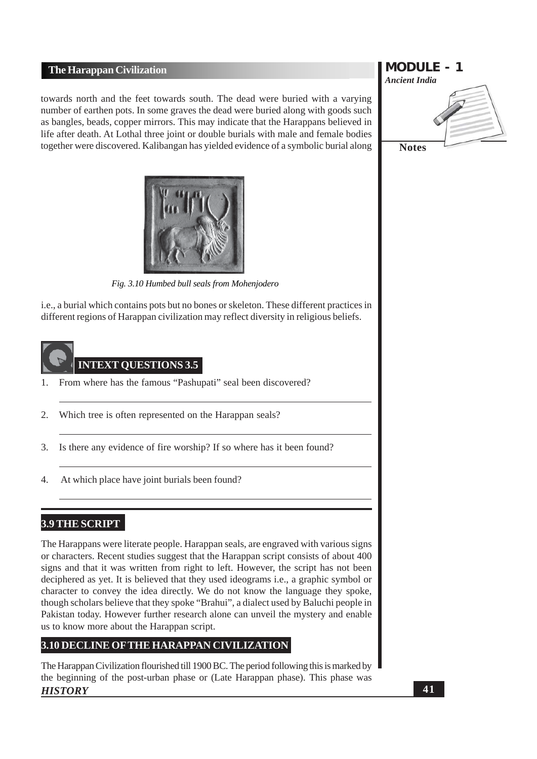towards north and the feet towards south. The dead were buried with a varying number of earthen pots. In some graves the dead were buried along with goods such as bangles, beads, copper mirrors. This may indicate that the Harappans believed in life after death. At Lothal three joint or double burials with male and female bodies together were discovered. Kalibangan has yielded evidence of a symbolic burial along



Fig. 3.10 Humbed bull seals from Mohenjodero

i.e., a burial which contains pots but no bones or skeleton. These different practices in different regions of Harappan civilization may reflect diversity in religious beliefs.



# **INTEXT QUESTIONS 3.5**

- From where has the famous "Pashupati" seal been discovered?  $\mathbf{1}$
- $\overline{2}$ . Which tree is often represented on the Harappan seals?
- 3. Is there any evidence of fire worship? If so where has it been found?
- At which place have joint burials been found?  $\overline{4}$ .

### **3.9 THE SCRIPT**

The Harappans were literate people. Harappan seals, are engraved with various signs or characters. Recent studies suggest that the Harappan script consists of about 400 signs and that it was written from right to left. However, the script has not been deciphered as yet. It is believed that they used ideograms *i.e.*, a graphic symbol or character to convey the idea directly. We do not know the language they spoke, though scholars believe that they spoke "Brahui", a dialect used by Baluchi people in Pakistan today. However further research alone can unveil the mystery and enable us to know more about the Harappan script.

### 3.10 DECLINE OF THE HARAPPAN CIVILIZATION

The Harappan Civilization flourished till 1900 BC. The period following this is marked by the beginning of the post-urban phase or (Late Harappan phase). This phase was **HISTORY** 

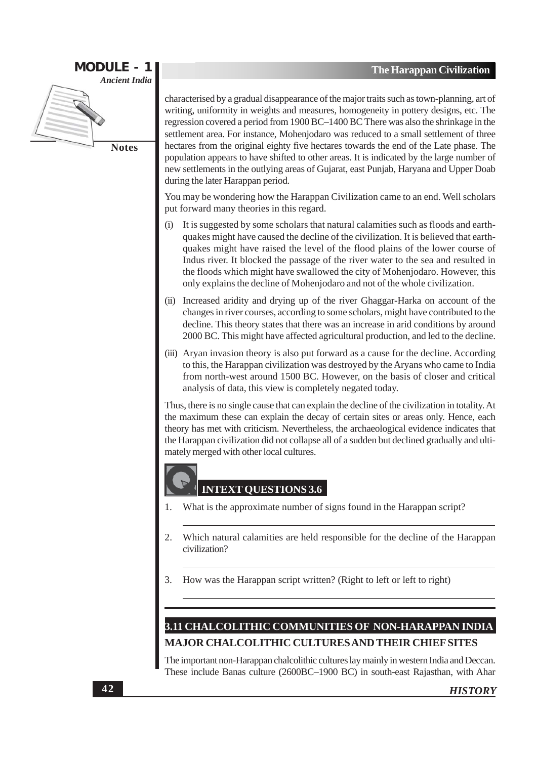

characterised by a gradual disappearance of the major traits such as town-planning, art of writing, uniformity in weights and measures, homogeneity in pottery designs, etc. The regression covered a period from 1900 BC-1400 BC There was also the shrinkage in the settlement area. For instance, Mohenjodaro was reduced to a small settlement of three hectares from the original eighty five hectares towards the end of the Late phase. The population appears to have shifted to other areas. It is indicated by the large number of new settlements in the outlying areas of Gujarat, east Punjab, Haryana and Upper Doab during the later Harappan period.

You may be wondering how the Harappan Civilization came to an end. Well scholars put forward many theories in this regard.

- It is suggested by some scholars that natural calamities such as floods and earth- $(i)$ quakes might have caused the decline of the civilization. It is believed that earthquakes might have raised the level of the flood plains of the lower course of Indus river. It blocked the passage of the river water to the sea and resulted in the floods which might have swallowed the city of Mohenjodaro. However, this only explains the decline of Moheniodaro and not of the whole civilization.
- (ii) Increased aridity and drying up of the river Ghaggar-Harka on account of the changes in river courses, according to some scholars, might have contributed to the decline. This theory states that there was an increase in arid conditions by around 2000 BC. This might have affected agricultural production, and led to the decline.
- (iii) Aryan invasion theory is also put forward as a cause for the decline. According to this, the Harappan civilization was destroyed by the Aryans who came to India from north-west around 1500 BC. However, on the basis of closer and critical analysis of data, this view is completely negated today.

Thus, there is no single cause that can explain the decline of the civilization in totality. At the maximum these can explain the decay of certain sites or areas only. Hence, each theory has met with criticism. Nevertheless, the archaeological evidence indicates that the Harappan civilization did not collapse all of a sudden but declined gradually and ultimately merged with other local cultures.

### **INTEXT OUESTIONS 3.6**

- What is the approximate number of signs found in the Harappan script? 1.
- 2. Which natural calamities are held responsible for the decline of the Harappan civilization?
- How was the Harappan script written? (Right to left or left to right) 3.

## 3.11 CHALCOLITHIC COMMUNITIES OF NON-HARAPPAN INDIA **MAJOR CHALCOLITHIC CULTURES AND THEIR CHIEF SITES**

The important non-Harappan chalcolithic cultures lay mainly in western India and Deccan. These include Banas culture (2600BC-1900 BC) in south-east Rajasthan, with Ahar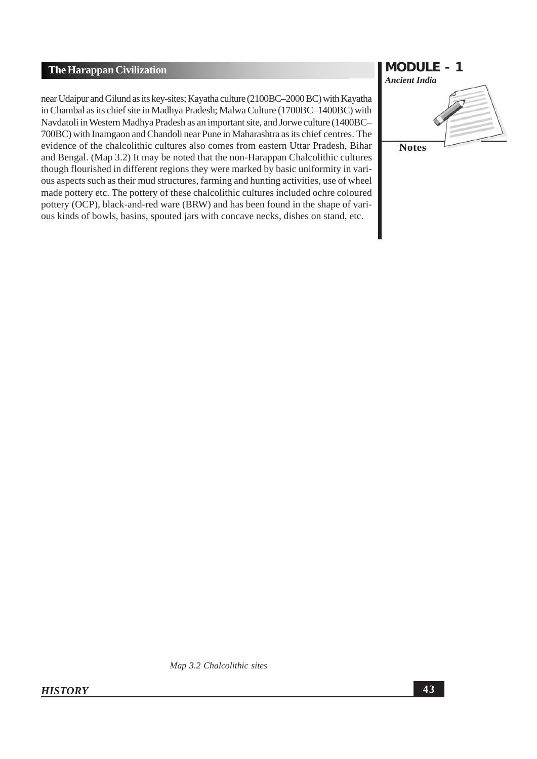near Udaipur and Gilund as its key-sites; Kayatha culture (2100BC-2000 BC) with Kayatha in Chambal as its chief site in Madhya Pradesh; Malwa Culture (1700BC-1400BC) with Navdatoli in Western Madhya Pradesh as an important site, and Jorwe culture (1400BC-700BC) with Inamgaon and Chandoli near Pune in Maharashtra as its chief centres. The evidence of the chalcolithic cultures also comes from eastern Uttar Pradesh, Bihar and Bengal. (Map 3.2) It may be noted that the non-Harappan Chalcolithic cultures though flourished in different regions they were marked by basic uniformity in various aspects such as their mud structures, farming and hunting activities, use of wheel made pottery etc. The pottery of these chalcolithic cultures included ochre coloured pottery (OCP), black-and-red ware (BRW) and has been found in the shape of various kinds of bowls, basins, spouted jars with concave necks, dishes on stand, etc.



Map 3.2 Chalcolithic sites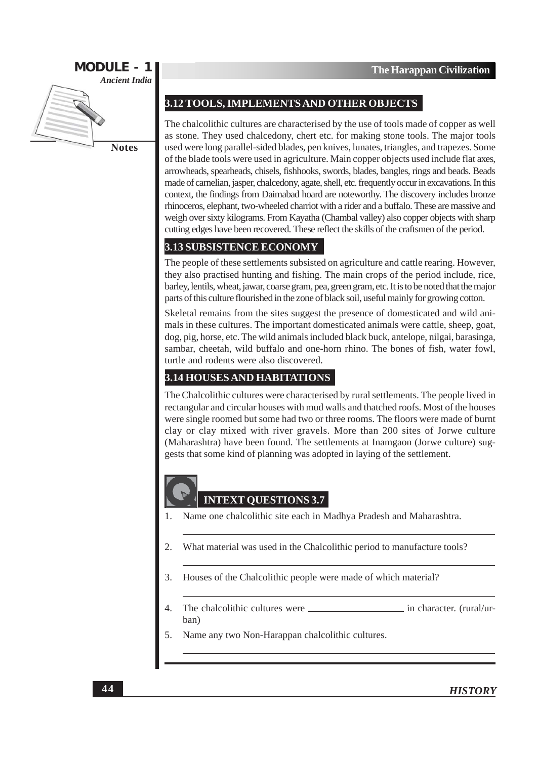

### 3.12 TOOLS, IMPLEMENTS AND OTHER OBJECTS

The chalcolithic cultures are characterised by the use of tools made of copper as well as stone. They used chalcedony, chert etc. for making stone tools. The major tools used were long parallel-sided blades, pen knives, lunates, triangles, and trapezes. Some of the blade tools were used in agriculture. Main copper objects used include flat axes, arrowheads, spearheads, chisels, fishhooks, swords, blades, bangles, rings and beads. Beads made of carnelian, jasper, chalcedony, agate, shell, etc. frequently occur in excavations. In this context, the findings from Daimabad hoard are noteworthy. The discovery includes bronze rhinoceros, elephant, two-wheeled charriot with a rider and a buffalo. These are massive and weigh over sixty kilograms. From Kayatha (Chambal valley) also copper objects with sharp cutting edges have been recovered. These reflect the skills of the craftsmen of the period.

### 3.13 SUBSISTENCE ECONOMY

The people of these settlements subsisted on agriculture and cattle rearing. However, they also practised hunting and fishing. The main crops of the period include, rice, barley, lentils, wheat, jawar, coarse gram, pea, green gram, etc. It is to be noted that the major parts of this culture flourished in the zone of black soil, useful mainly for growing cotton.

Skeletal remains from the sites suggest the presence of domesticated and wild animals in these cultures. The important domesticated animals were cattle, sheep, goat, dog, pig, horse, etc. The wild animals included black buck, antelope, nilgai, barasinga, sambar, cheetah, wild buffalo and one-horn rhino. The bones of fish, water fowl, turtle and rodents were also discovered.

### **3.14 HOUSES AND HABITATIONS**

The Chalcolithic cultures were characterised by rural settlements. The people lived in rectangular and circular houses with mud walls and thatched roofs. Most of the houses were single roomed but some had two or three rooms. The floors were made of burnt clay or clay mixed with river gravels. More than 200 sites of Jorwe culture (Maharashtra) have been found. The settlements at Inamgaon (Jorwe culture) suggests that some kind of planning was adopted in laying of the settlement.

### **INTEXT OUESTIONS 3.7**

- $\mathbf{1}$ . Name one chalcolithic site each in Madhya Pradesh and Maharashtra.
- 2. What material was used in the Chalcolithic period to manufacture tools?
- 3. Houses of the Chalcolithic people were made of which material?
- $\overline{4}$ . The chalcolithic cultures were in character. (rural/urban)
- 5. Name any two Non-Harappan chalcolithic cultures.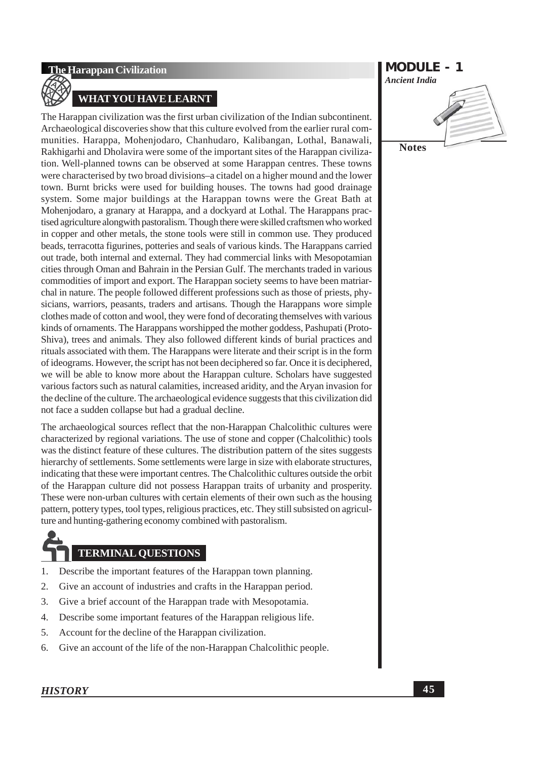### **WHAT YOU HAVE LEARNT**

The Harappan civilization was the first urban civilization of the Indian subcontinent. Archaeological discoveries show that this culture evolved from the earlier rural communities. Harappa, Mohenjodaro, Chanhudaro, Kalibangan, Lothal, Banawali, Rakhigarhi and Dholavira were some of the important sites of the Harappan civilization. Well-planned towns can be observed at some Harappan centres. These towns were characterised by two broad divisions-a citadel on a higher mound and the lower town. Burnt bricks were used for building houses. The towns had good drainage system. Some major buildings at the Harappan towns were the Great Bath at Mohenjodaro, a granary at Harappa, and a dockyard at Lothal. The Harappans practised agriculture alongwith pastoralism. Though there were skilled craftsmen who worked in copper and other metals, the stone tools were still in common use. They produced beads, terracotta figurines, potteries and seals of various kinds. The Harappans carried out trade, both internal and external. They had commercial links with Mesopotamian cities through Oman and Bahrain in the Persian Gulf. The merchants traded in various commodities of import and export. The Harappan society seems to have been matriarchal in nature. The people followed different professions such as those of priests, physicians, warriors, peasants, traders and artisans. Though the Harappans wore simple clothes made of cotton and wool, they were fond of decorating themselves with various kinds of ornaments. The Harappans worshipped the mother goddess, Pashupati (Proto-Shiva), trees and animals. They also followed different kinds of burial practices and rituals associated with them. The Harappans were literate and their script is in the form of ideograms. However, the script has not been deciphered so far. Once it is deciphered, we will be able to know more about the Harappan culture. Scholars have suggested various factors such as natural calamities, increased aridity, and the Aryan invasion for the decline of the culture. The archaeological evidence suggests that this civilization did not face a sudden collapse but had a gradual decline.

The archaeological sources reflect that the non-Harappan Chalcolithic cultures were characterized by regional variations. The use of stone and copper (Chalcolithic) tools was the distinct feature of these cultures. The distribution pattern of the sites suggests hierarchy of settlements. Some settlements were large in size with elaborate structures, indicating that these were important centres. The Chalcolithic cultures outside the orbit of the Harappan culture did not possess Harappan traits of urbanity and prosperity. These were non-urban cultures with certain elements of their own such as the housing pattern, pottery types, tool types, religious practices, etc. They still subsisted on agriculture and hunting-gathering economy combined with pastoralism.

# **TERMINAL OUESTIONS**

- 1. Describe the important features of the Harappan town planning.
- $\overline{2}$ . Give an account of industries and crafts in the Harappan period.
- $\overline{3}$ . Give a brief account of the Harappan trade with Mesopotamia.
- $\overline{4}$ . Describe some important features of the Harappan religious life.
- Account for the decline of the Harappan civilization. 5.
- 6. Give an account of the life of the non-Harappan Chalcolithic people.

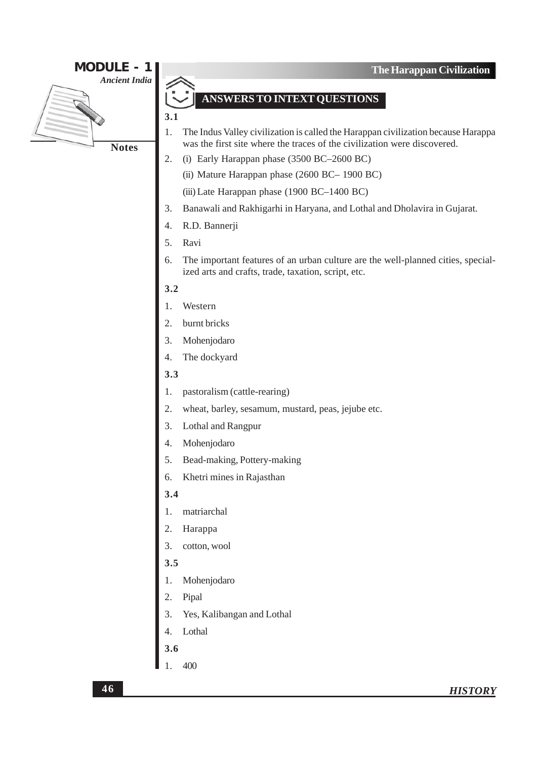